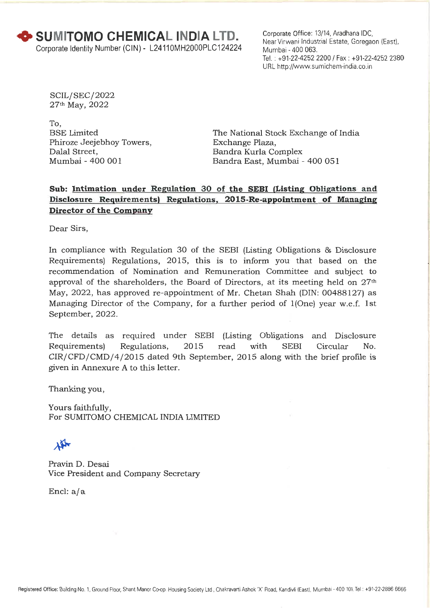Corporate Office: 13/14, Aradhana IDC, Near Virwani Industrial Estate, Goregaon (East), Mumbai - 400 063. Tel. : +91-22-4252 2200 / Fax : +91-22-4252 2380 URL http://www.sumichem-india.co.in

SCIL/SEC/ 2022 27th May, 2022

To, BSE Limited Phiroze Jeejebhoy Towers, Dalal Street, Mumbai - 400 001

The National Stock Exchange of India Exchange Plaza, Bandra Kurla Complex Bandra East, Mumbai - 400 051

## **Sub: Intimation under Regulation 30 of the SEBI (Listing Obligations and Disclosure Requirements**► **Regulations, 2015-Re-appointment of Managing Director of the Company**

Dear Sirs,

In compliance with Regulation 30 of the SEBI (Listing Obligations & Disclosure Requirements) Regulations, 2015, this is to inform you that based on the recommendation of Nomination and Remuneration Committee and subject to approval of the shareholders, the Board of Directors, at its meeting held on  $27<sup>th</sup>$ May, 2022, has approved re-appointment of Mr. Chetan Shah (DIN: 00488127) as Managing Director of the Company, for a further period of 1(One) year w.e.f. 1st September, 2022.

The details as required under SEBI (Listing Obligations and Disclosure Requirements) Regulations, 2015 read with SEBI Circular No. CIR/ CFD / CMD/4 /2015 dated 9th September, 2015 along with the brief profile is given in Annexure A to this letter.

Thanking you,

Yours faithfully, For SUMITOMO CHEMICAL INDIA LIMITED

 $\mathbf{A}$ 

Pravin D. Desai Vice President and Company Secretary

Encl:  $a/a$